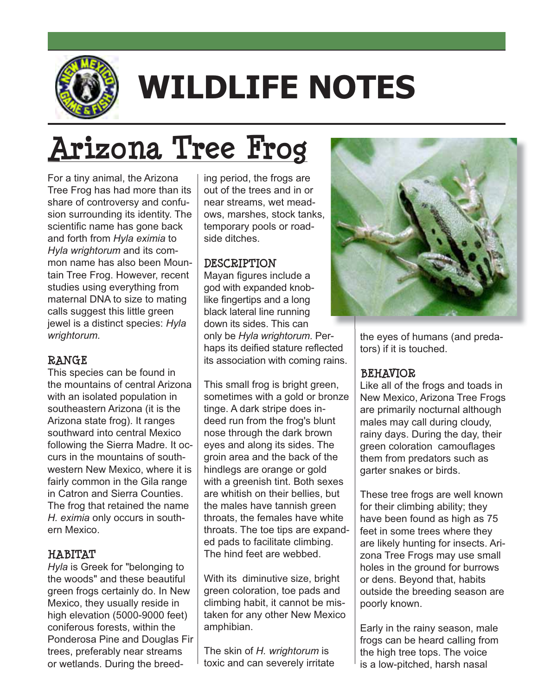

# **WILDLIFE NOTES**

For a tiny animal, the Arizona ing period, the frogs are Tree Frog has had more than its share of controversy and confusion surrounding its identity. The scientific name has gone back and forth from *Hyla eximia* to *Hyla wrightorum* and its common name has also been Mountain Tree Frog. However, recent studies using everything from maternal DNA to size to mating calls suggest this little green jewel is a distinct species: *Hyla wrightorum.*

**TALCORE**<br>This species can be found in the mountains of central Arizona with an isolated population in southeastern Arizona (it is the Arizona state frog). It ranges southward into central Mexico following the Sierra Madre. It occurs in the mountains of southwestern New Mexico, where it is fairly common in the Gila range in Catron and Sierra Counties. The frog that retained the name *H. eximia* only occurs in southern Mexico

*Hyla* **is Greek for "belonging to<br>***Hyla* **is Greek for "belonging to<br>the woods" and these beautiful** the woods" and these beautiful green frogs certainly do. In New Mexico, they usually reside in high elevation (5000-9000 feet) coniferous forests, within the Ponderosa Pine and Douglas Fir trees, preferably near streams or wetlands. During the breeding period, the frogs are out of the trees and in or near streams, wet meadows, marshes, stock tanks, temporary pools or roadside ditches.

**DESCRIPTION**<br>Mayan figures include a god with expanded knoblike fingertips and a long black lateral line running down its sides. This can only be Hyla wrightorum. Perhaps its deified stature reflected its association with coming rains.

This small frog is bright green, sometimes with a gold or bronze tinge. A dark stripe does indeed run from the frog's blunt nose through the dark brown eyes and along its sides. The groin area and the back of the hindlegs are orange or gold with a greenish tint. Both sexes are whitish on their bellies, but the males have tannish green throats, the females have white throats. The toe tips are expanded pads to facilitate climbing. The hind feet are webbed.

With its diminutive size, bright green coloration, toe pads and climbing habit, it cannot be mistaken for any other New Mexico amphibian.

The skin of H. wrightorum is toxic and can severely irritate



the eyes of humans (and predators) if it is touched.

## **BEHAVIOR**

**BEHAVIOR**<br>Like all of the frogs and toads in New Mexico, Arizona Tree Frogs are primarily nocturnal although males may call during cloudy, rainy days. During the day, their green coloration camouflages them from predators such as darter snakes or birds.

These tree frogs are well known for their climbing ability; they have been found as high as 75 feet in some trees where they are likely hunting for insects. Arizona Tree Frogs may use small holes in the ground for burrows or dens. Beyond that, habits outside the breeding season are poorly known.

Early in the rainy season, male frogs can be heard calling from the high tree tops. The voice is a low-pitched, harsh nasal